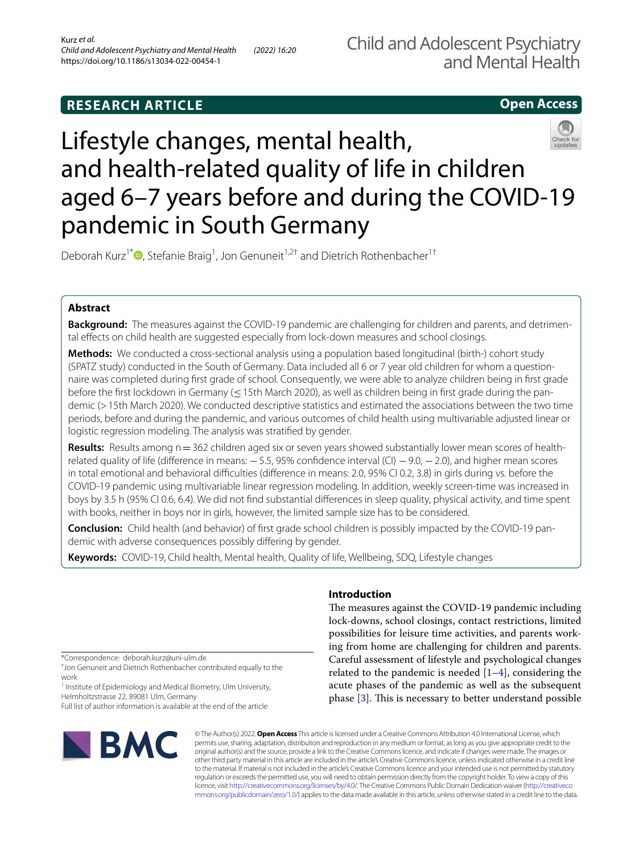# **RESEARCH ARTICLE**

# **Open Access**



# Lifestyle changes, mental health, and health-related quality of life in children aged 6–7 years before and during the COVID-19 pandemic in South Germany

Deborah Kurz<sup>1\*</sup><sup>®</sup>[,](http://orcid.org/0000-0002-6934-9257) Stefanie Braig<sup>1</sup>, Jon Genuneit<sup>1,2†</sup> and Dietrich Rothenbacher<sup>1†</sup>

# **Abstract**

**Background:** The measures against the COVID-19 pandemic are challenging for children and parents, and detrimental efects on child health are suggested especially from lock-down measures and school closings.

**Methods:** We conducted a cross-sectional analysis using a population based longitudinal (birth-) cohort study (SPATZ study) conducted in the South of Germany. Data included all 6 or 7 year old children for whom a questionnaire was completed during frst grade of school. Consequently, we were able to analyze children being in frst grade before the frst lockdown in Germany (≤15th March 2020), as well as children being in frst grade during the pandemic (>15th March 2020). We conducted descriptive statistics and estimated the associations between the two time periods, before and during the pandemic, and various outcomes of child health using multivariable adjusted linear or logistic regression modeling. The analysis was stratifed by gender.

**Results:** Results among n=362 children aged six or seven years showed substantially lower mean scores of healthrelated quality of life (difference in means: −5.5, 95% confidence interval (CI) −9.0, −2.0), and higher mean scores in total emotional and behavioral difficulties (difference in means: 2.0, 95% CI 0.2, 3.8) in girls during vs. before the COVID-19 pandemic using multivariable linear regression modeling. In addition, weekly screen-time was increased in boys by 3.5 h (95% CI 0.6, 6.4). We did not fnd substantial diferences in sleep quality, physical activity, and time spent with books, neither in boys nor in girls, however, the limited sample size has to be considered.

**Conclusion:** Child health (and behavior) of frst grade school children is possibly impacted by the COVID-19 pandemic with adverse consequences possibly difering by gender.

**Keywords:** COVID-19, Child health, Mental health, Quality of life, Wellbeing, SDQ, Lifestyle changes

\*Correspondence: deborah.kurz@uni-ulm.de

† Jon Genuneit and Dietrich Rothenbacher contributed equally to the work

<sup>1</sup> Institute of Epidemiology and Medical Biometry, Ulm University, Helmholtzstrasse 22, 89081 Ulm, Germany

Full list of author information is available at the end of the article



# **Introduction**

The measures against the COVID-19 pandemic including lock-downs, school closings, contact restrictions, limited possibilities for leisure time activities, and parents working from home are challenging for children and parents. Careful assessment of lifestyle and psychological changes related to the pandemic is needed  $[1-4]$  $[1-4]$ , considering the acute phases of the pandemic as well as the subsequent phase  $[3]$  $[3]$ . This is necessary to better understand possible

© The Author(s) 2022. **Open Access** This article is licensed under a Creative Commons Attribution 4.0 International License, which permits use, sharing, adaptation, distribution and reproduction in any medium or format, as long as you give appropriate credit to the original author(s) and the source, provide a link to the Creative Commons licence, and indicate if changes were made. The images or other third party material in this article are included in the article's Creative Commons licence, unless indicated otherwise in a credit line to the material. If material is not included in the article's Creative Commons licence and your intended use is not permitted by statutory regulation or exceeds the permitted use, you will need to obtain permission directly from the copyright holder. To view a copy of this licence, visit [http://creativecommons.org/licenses/by/4.0/.](http://creativecommons.org/licenses/by/4.0/) The Creative Commons Public Domain Dedication waiver ([http://creativeco](http://creativecommons.org/publicdomain/zero/1.0/) [mmons.org/publicdomain/zero/1.0/](http://creativecommons.org/publicdomain/zero/1.0/)) applies to the data made available in this article, unless otherwise stated in a credit line to the data.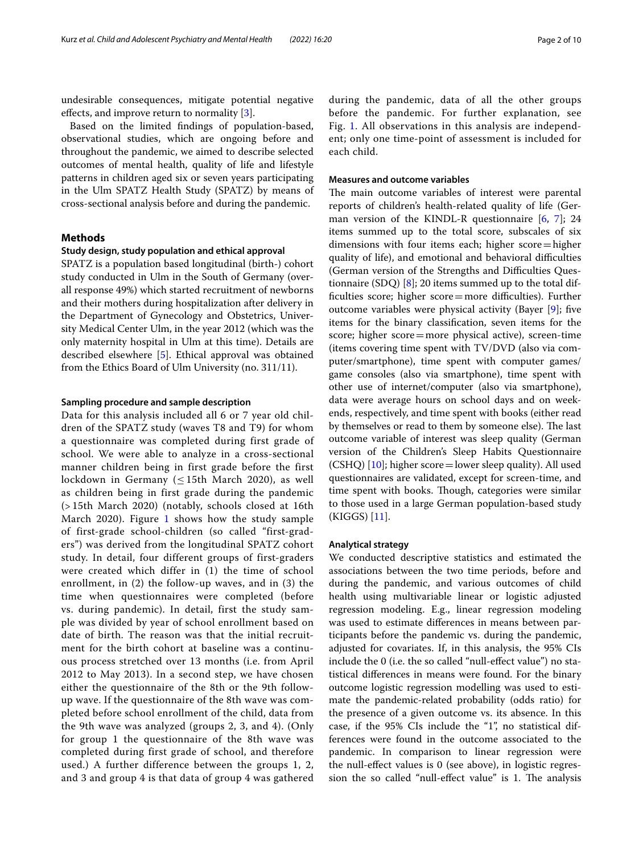undesirable consequences, mitigate potential negative effects, and improve return to normality  $[3]$ .

Based on the limited fndings of population-based, observational studies, which are ongoing before and throughout the pandemic, we aimed to describe selected outcomes of mental health, quality of life and lifestyle patterns in children aged six or seven years participating in the Ulm SPATZ Health Study (SPATZ) by means of cross-sectional analysis before and during the pandemic.

# <span id="page-1-0"></span>**Methods**

# **Study design, study population and ethical approval**

SPATZ is a population based longitudinal (birth-) cohort study conducted in Ulm in the South of Germany (overall response 49%) which started recruitment of newborns and their mothers during hospitalization after delivery in the Department of Gynecology and Obstetrics, University Medical Center Ulm, in the year 2012 (which was the only maternity hospital in Ulm at this time). Details are described elsewhere [\[5](#page-9-0)]. Ethical approval was obtained from the Ethics Board of Ulm University (no. 311/11).

#### **Sampling procedure and sample description**

Data for this analysis included all 6 or 7 year old children of the SPATZ study (waves T8 and T9) for whom a questionnaire was completed during first grade of school. We were able to analyze in a cross-sectional manner children being in first grade before the first lockdown in Germany ( $\leq$ 15th March 2020), as well as children being in first grade during the pandemic (> 15th March 2020) (notably, schools closed at 16th March 2020). Figure [1](#page-2-0) shows how the study sample of first-grade school-children (so called "first-graders") was derived from the longitudinal SPATZ cohort study. In detail, four different groups of first-graders were created which differ in (1) the time of school enrollment, in (2) the follow-up waves, and in (3) the time when questionnaires were completed (before vs. during pandemic). In detail, first the study sample was divided by year of school enrollment based on date of birth. The reason was that the initial recruitment for the birth cohort at baseline was a continuous process stretched over 13 months (i.e. from April 2012 to May 2013). In a second step, we have chosen either the questionnaire of the 8th or the 9th followup wave. If the questionnaire of the 8th wave was completed before school enrollment of the child, data from the 9th wave was analyzed (groups 2, 3, and 4). (Only for group 1 the questionnaire of the 8th wave was completed during first grade of school, and therefore used.) A further difference between the groups 1, 2, and 3 and group 4 is that data of group 4 was gathered during the pandemic, data of all the other groups before the pandemic. For further explanation, see Fig. [1](#page-2-0). All observations in this analysis are independent; only one time-point of assessment is included for each child.

# **Measures and outcome variables**

The main outcome variables of interest were parental reports of children's health-related quality of life (German version of the KINDL-R questionnaire  $[6, 7]$  $[6, 7]$  $[6, 7]$  $[6, 7]$ ; 24 items summed up to the total score, subscales of six dimensions with four items each; higher score=higher quality of life), and emotional and behavioral difficulties (German version of the Strengths and Difficulties Questionnaire (SDQ) [\[8](#page-9-3)]; 20 items summed up to the total difficulties score; higher  $score = more$  difficulties). Further outcome variables were physical activity (Bayer [\[9](#page-9-4)]; fve items for the binary classifcation, seven items for the score; higher score=more physical active), screen-time (items covering time spent with TV/DVD (also via computer/smartphone), time spent with computer games/ game consoles (also via smartphone), time spent with other use of internet/computer (also via smartphone), data were average hours on school days and on weekends, respectively, and time spent with books (either read by themselves or read to them by someone else). The last outcome variable of interest was sleep quality (German version of the Children's Sleep Habits Questionnaire (CSHQ) [[10](#page-9-5)]; higher score=lower sleep quality). All used questionnaires are validated, except for screen-time, and time spent with books. Though, categories were similar to those used in a large German population-based study (KIGGS) [[11](#page-9-6)].

#### **Analytical strategy**

We conducted descriptive statistics and estimated the associations between the two time periods, before and during the pandemic, and various outcomes of child health using multivariable linear or logistic adjusted regression modeling. E.g., linear regression modeling was used to estimate diferences in means between participants before the pandemic vs. during the pandemic, adjusted for covariates. If, in this analysis, the 95% CIs include the 0 (i.e. the so called "null-efect value") no statistical diferences in means were found. For the binary outcome logistic regression modelling was used to estimate the pandemic-related probability (odds ratio) for the presence of a given outcome vs. its absence. In this case, if the 95% CIs include the "1", no statistical differences were found in the outcome associated to the pandemic. In comparison to linear regression were the null-efect values is 0 (see above), in logistic regression the so called "null-effect value" is 1. The analysis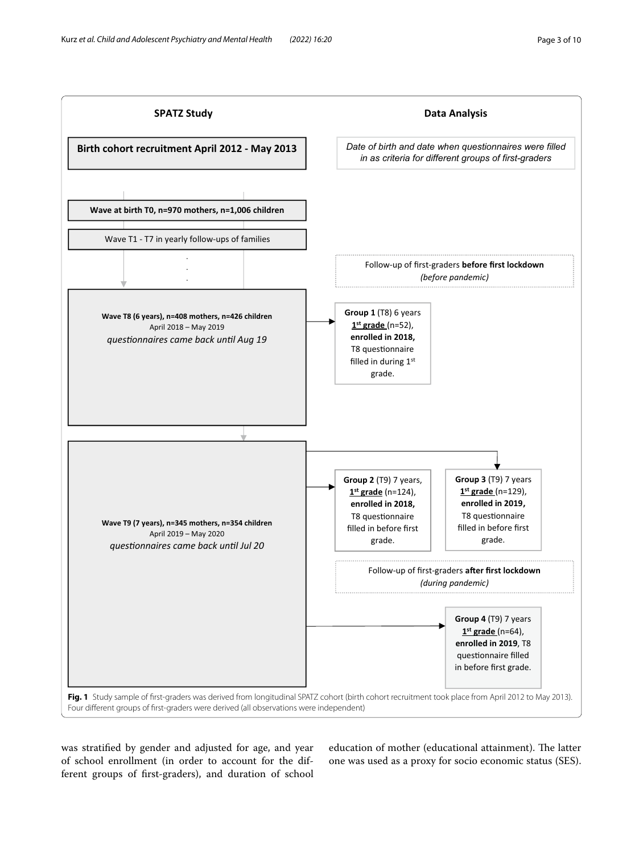

<span id="page-2-0"></span>was stratifed by gender and adjusted for age, and year of school enrollment (in order to account for the different groups of frst-graders), and duration of school education of mother (educational attainment). The latter one was used as a proxy for socio economic status (SES).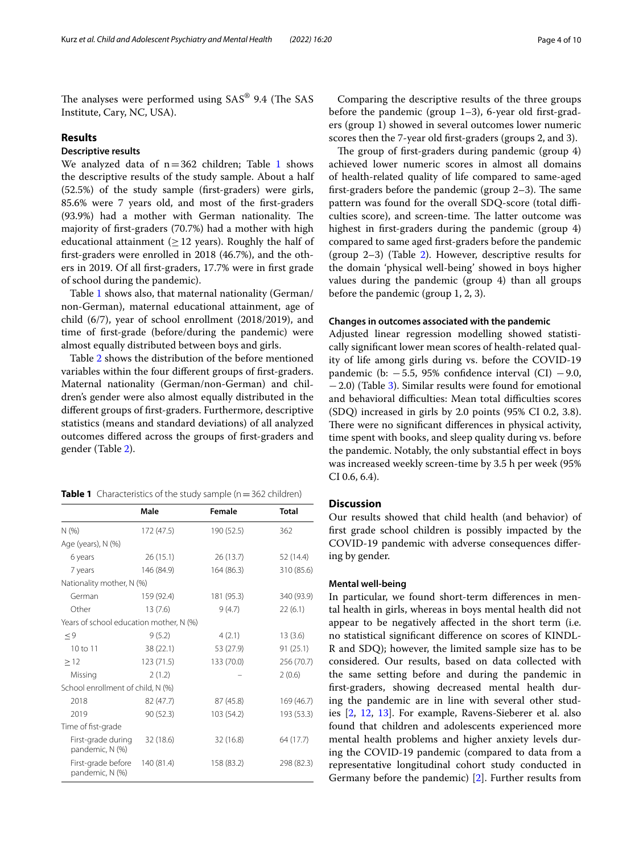The analyses were performed using  $SAS^{\circledast}$  9.4 (The SAS Institute, Cary, NC, USA).

# **Results**

# **Descriptive results**

We analyzed data of  $n=362$  children; Table [1](#page-3-0) shows the descriptive results of the study sample. About a half (52.5%) of the study sample (frst-graders) were girls, 85.6% were 7 years old, and most of the frst-graders (93.9%) had a mother with German nationality. The majority of frst-graders (70.7%) had a mother with high educational attainment ( $\geq$  12 years). Roughly the half of frst-graders were enrolled in 2018 (46.7%), and the others in 2019. Of all frst-graders, 17.7% were in frst grade of school during the pandemic).

Table [1](#page-3-0) shows also, that maternal nationality (German/ non-German), maternal educational attainment, age of child (6/7), year of school enrollment (2018/2019), and time of frst-grade (before/during the pandemic) were almost equally distributed between boys and girls.

Table [2](#page-4-0) shows the distribution of the before mentioned variables within the four diferent groups of frst-graders. Maternal nationality (German/non-German) and children's gender were also almost equally distributed in the diferent groups of frst-graders. Furthermore, descriptive statistics (means and standard deviations) of all analyzed outcomes difered across the groups of frst-graders and gender (Table [2\)](#page-4-0).

<span id="page-3-0"></span>**Table 1** Characteristics of the study sample (n = 362 children)

|                                         | Male       | Female     | <b>Total</b> |
|-----------------------------------------|------------|------------|--------------|
| N(%                                     | 172 (47.5) | 190 (52.5) | 362          |
| Age (years), N (%)                      |            |            |              |
| 6 years                                 | 26(15.1)   | 26(13.7)   | 52 (14.4)    |
| 7 years                                 | 146 (84.9) | 164 (86.3) | 310 (85.6)   |
| Nationality mother, N (%)               |            |            |              |
| German                                  | 159 (92.4) | 181 (95.3) | 340 (93.9)   |
| Other                                   | 13(7.6)    | 9(4.7)     | 22(6.1)      |
| Years of school education mother, N (%) |            |            |              |
| $\leq 9$                                | 9(5.2)     | 4(2.1)     | 13(3.6)      |
| $10 \text{ to } 11$                     | 38 (22.1)  | 53 (27.9)  | 91(25.1)     |
| >12                                     | 123(71.5)  | 133 (70.0) | 256 (70.7)   |
| Missing                                 | 2(1.2)     |            | 2(0.6)       |
| School enrollment of child, N (%)       |            |            |              |
| 2018                                    | 82 (47.7)  | 87 (45.8)  | 169 (46.7)   |
| 2019                                    | 90 (52.3)  | 103 (54.2) | 193 (53.3)   |
| Time of fist-grade                      |            |            |              |
| First-grade during<br>pandemic, N (%)   | 32 (18.6)  | 32 (16.8)  | 64 (17.7)    |
| First-grade before<br>pandemic, N (%)   | 140 (81.4) | 158 (83.2) | 298 (82.3)   |

Comparing the descriptive results of the three groups before the pandemic (group  $1-3$ ), 6-year old first-graders (group 1) showed in several outcomes lower numeric scores then the 7-year old frst-graders (groups 2, and 3).

The group of first-graders during pandemic (group 4) achieved lower numeric scores in almost all domains of health-related quality of life compared to same-aged first-graders before the pandemic (group  $2-3$ ). The same pattern was found for the overall SDQ-score (total difficulties score), and screen-time. The latter outcome was highest in frst-graders during the pandemic (group 4) compared to same aged frst-graders before the pandemic (group  $2-3$  $2-3$ ) (Table 2). However, descriptive results for the domain 'physical well-being' showed in boys higher values during the pandemic (group 4) than all groups before the pandemic (group 1, 2, 3).

# **Changes in outcomes associated with the pandemic**

Adjusted linear regression modelling showed statistically signifcant lower mean scores of health-related quality of life among girls during vs. before the COVID-19 pandemic (b:  $-5.5$ , 95% confidence interval (CI)  $-9.0$ , −2.0) (Table [3\)](#page-6-0). Similar results were found for emotional and behavioral difficulties: Mean total difficulties scores (SDQ) increased in girls by 2.0 points (95% CI 0.2, 3.8). There were no significant differences in physical activity, time spent with books, and sleep quality during vs. before the pandemic. Notably, the only substantial efect in boys was increased weekly screen-time by 3.5 h per week (95% CI 0.6, 6.4).

# **Discussion**

Our results showed that child health (and behavior) of frst grade school children is possibly impacted by the COVID-19 pandemic with adverse consequences difering by gender.

#### **Mental well‑being**

In particular, we found short-term diferences in mental health in girls, whereas in boys mental health did not appear to be negatively afected in the short term (i.e. no statistical signifcant diference on scores of KINDL-R and SDQ); however, the limited sample size has to be considered. Our results, based on data collected with the same setting before and during the pandemic in frst-graders, showing decreased mental health during the pandemic are in line with several other studies [[2,](#page-8-3) [12,](#page-9-7) [13](#page-9-8)]. For example, Ravens-Sieberer et al. also found that children and adolescents experienced more mental health problems and higher anxiety levels during the COVID-19 pandemic (compared to data from a representative longitudinal cohort study conducted in Germany before the pandemic) [[2\]](#page-8-3). Further results from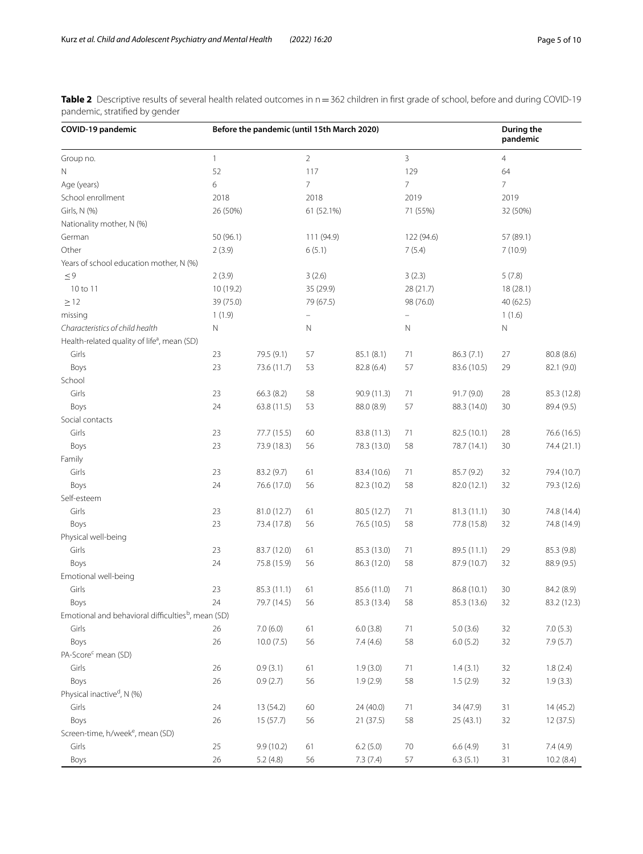<span id="page-4-0"></span>**Table 2** Descriptive results of several health related outcomes in n = 362 children in first grade of school, before and during COVID-19 pandemic, stratifed by gender

| COVID-19 pandemic                                              |              | Before the pandemic (until 15th March 2020) |                |             |                |             | <b>During the</b><br>pandemic |             |
|----------------------------------------------------------------|--------------|---------------------------------------------|----------------|-------------|----------------|-------------|-------------------------------|-------------|
| Group no.                                                      | $\mathbf{1}$ |                                             | $\overline{2}$ |             | 3              |             | 4                             |             |
| Ν                                                              | 52           |                                             | 117            |             | 129            |             | 64                            |             |
| Age (years)                                                    | 6            |                                             | 7              |             | $\overline{7}$ |             | 7                             |             |
| School enrollment                                              | 2018         |                                             | 2018           |             | 2019           |             | 2019                          |             |
| Girls, N (%)                                                   | 26 (50%)     |                                             | 61 (52.1%)     |             | 71 (55%)       |             | 32 (50%)                      |             |
| Nationality mother, N (%)                                      |              |                                             |                |             |                |             |                               |             |
| German                                                         | 50 (96.1)    |                                             | 111 (94.9)     |             | 122 (94.6)     |             | 57 (89.1)                     |             |
| Other                                                          | 2(3.9)       |                                             | 6(5.1)         |             | 7(5.4)         |             | 7(10.9)                       |             |
| Years of school education mother, N (%)                        |              |                                             |                |             |                |             |                               |             |
| $\leq 9$                                                       | 2(3.9)       |                                             | 3(2.6)         |             | 3(2.3)         |             | 5(7.8)                        |             |
| 10 to 11                                                       | 10(19.2)     |                                             | 35 (29.9)      |             | 28 (21.7)      |             | 18(28.1)                      |             |
| $\geq$ 12                                                      | 39 (75.0)    |                                             | 79 (67.5)      |             | 98 (76.0)      |             | 40 (62.5)                     |             |
| missing                                                        | 1(1.9)       |                                             | ÷              |             |                |             | 1(1.6)                        |             |
| Characteristics of child health                                | N            |                                             | N              |             | N              |             | $\mathbb N$                   |             |
| Health-related quality of life <sup>a</sup> , mean (SD)        |              |                                             |                |             |                |             |                               |             |
| Girls                                                          | 23           | 79.5 (9.1)                                  | 57             | 85.1 (8.1)  | 71             | 86.3(7.1)   | 27                            | 80.8 (8.6)  |
| Boys                                                           | 23           | 73.6 (11.7)                                 | 53             | 82.8 (6.4)  | 57             | 83.6 (10.5) | 29                            | 82.1 (9.0)  |
| School                                                         |              |                                             |                |             |                |             |                               |             |
| Girls                                                          | 23           | 66.3(8.2)                                   | 58             | 90.9 (11.3) | 71             | 91.7(9.0)   | 28                            | 85.3 (12.8) |
| Boys                                                           | 24           | 63.8 (11.5)                                 | 53             | 88.0 (8.9)  | 57             | 88.3 (14.0) | 30                            | 89.4 (9.5)  |
| Social contacts                                                |              |                                             |                |             |                |             |                               |             |
| Girls                                                          | 23           | 77.7 (15.5)                                 | 60             | 83.8 (11.3) | 71             | 82.5 (10.1) | 28                            | 76.6 (16.5) |
| Boys                                                           | 23           | 73.9 (18.3)                                 | 56             | 78.3 (13.0) | 58             | 78.7 (14.1) | 30                            | 74.4 (21.1) |
| Family                                                         |              |                                             |                |             |                |             |                               |             |
| Girls                                                          | 23           | 83.2 (9.7)                                  | 61             | 83.4 (10.6) | 71             | 85.7 (9.2)  | 32                            | 79.4 (10.7) |
| Boys                                                           | 24           | 76.6 (17.0)                                 | 56             | 82.3 (10.2) | 58             | 82.0 (12.1) | 32                            | 79.3 (12.6) |
| Self-esteem                                                    |              |                                             |                |             |                |             |                               |             |
| Girls                                                          | 23           | 81.0 (12.7)                                 | 61             | 80.5 (12.7) | 71             | 81.3(11.1)  | 30                            | 74.8 (14.4) |
| Boys                                                           | 23           | 73.4 (17.8)                                 | 56             | 76.5 (10.5) | 58             | 77.8 (15.8) | 32                            | 74.8 (14.9) |
| Physical well-being                                            |              |                                             |                |             |                |             |                               |             |
| Girls                                                          | 23           | 83.7 (12.0)                                 | 61             | 85.3 (13.0) | 71             | 89.5 (11.1) | 29                            | 85.3 (9.8)  |
| Boys                                                           | 24           | 75.8 (15.9)                                 | 56             | 86.3 (12.0) | 58             | 87.9 (10.7) | 32                            | 88.9 (9.5)  |
| Emotional well-being                                           |              |                                             |                |             |                |             |                               |             |
| Girls                                                          | 23           | 85.3 (11.1)                                 | 61             | 85.6 (11.0) | 71             | 86.8 (10.1) | 30                            | 84.2 (8.9)  |
| <b>Boys</b>                                                    | 24           | 79.7 (14.5)                                 | 56             | 85.3 (13.4) | 58             | 85.3 (13.6) | 32                            | 83.2 (12.3) |
| Emotional and behavioral difficulties <sup>b</sup> , mean (SD) |              |                                             |                |             |                |             |                               |             |
| Girls                                                          | 26           | 7.0(6.0)                                    | 61             | 6.0(3.8)    | 71             | 5.0(3.6)    | 32                            | 7.0(5.3)    |
| Boys                                                           | 26           | 10.0(7.5)                                   | 56             | 7.4(4.6)    | 58             | 6.0(5.2)    | 32                            | 7.9(5.7)    |
| PA-Score <sup>c</sup> mean (SD)                                |              |                                             |                |             |                |             |                               |             |
| Girls                                                          | 26           | 0.9(3.1)                                    | 61             | 1.9(3.0)    | 71             | 1.4(3.1)    | 32                            | 1.8(2.4)    |
| Boys                                                           | 26           | 0.9(2.7)                                    | 56             | 1.9(2.9)    | 58             | 1.5(2.9)    | 32                            | 1.9(3.3)    |
| Physical inactive <sup>d</sup> , N (%)                         |              |                                             |                |             |                |             |                               |             |
| Girls                                                          | 24           | 13 (54.2)                                   | 60             | 24 (40.0)   | 71             | 34 (47.9)   | 31                            | 14(45.2)    |
| Boys                                                           | 26           | 15(57.7)                                    | 56             | 21(37.5)    | 58             | 25(43.1)    | 32                            | 12(37.5)    |
| Screen-time, h/week <sup>e</sup> , mean (SD)                   |              |                                             |                |             |                |             |                               |             |
| Girls                                                          | 25           | 9.9 (10.2)                                  | 61             | 6.2(5.0)    | 70             | 6.6(4.9)    | 31                            | 7.4 (4.9)   |
|                                                                | 26           |                                             |                |             |                |             |                               |             |
| Boys                                                           |              | 5.2(4.8)                                    | 56             | 7.3(7.4)    | 57             | 6.3(5.1)    | 31                            | 10.2(8.4)   |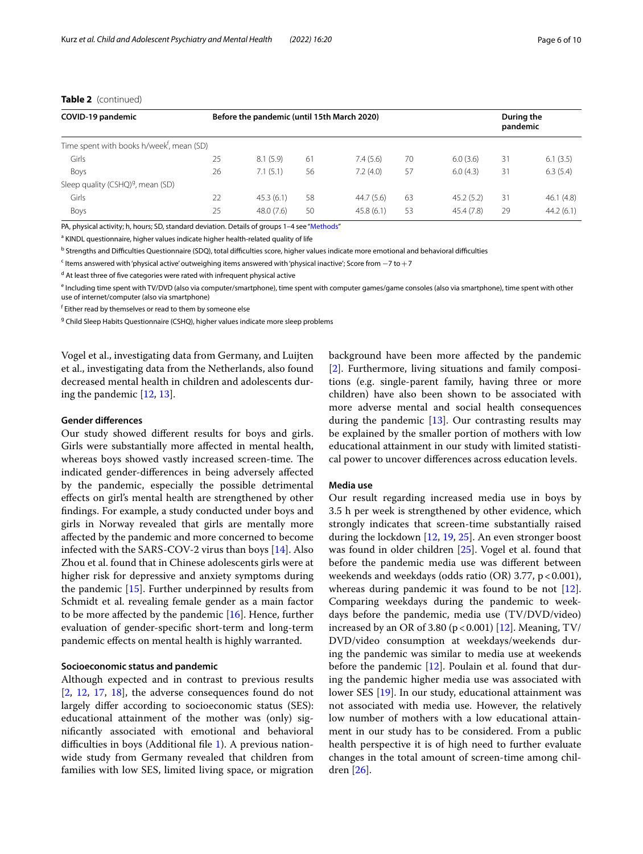# **Table 2** (continued)

| COVID-19 pandemic                                     |    | Before the pandemic (until 15th March 2020) |    |           |    |            | During the<br>pandemic |           |
|-------------------------------------------------------|----|---------------------------------------------|----|-----------|----|------------|------------------------|-----------|
| Time spent with books h/week <sup>f</sup> , mean (SD) |    |                                             |    |           |    |            |                        |           |
| Girls                                                 | 25 | 8.1(5.9)                                    | 61 | 7.4(5.6)  | 70 | 6.0(3.6)   | 31                     | 6.1(3.5)  |
| Boys                                                  | 26 | 7.1(5.1)                                    | 56 | 7.2(4.0)  | 57 | 6.0(4.3)   | 31                     | 6.3(5.4)  |
| Sleep quality (CSHQ) <sup>g</sup> , mean (SD)         |    |                                             |    |           |    |            |                        |           |
| Girls                                                 | 22 | 45.3(6.1)                                   | 58 | 44.7(5.6) | 63 | 45.2(5.2)  | 31                     | 46.1(4.8) |
| Boys                                                  | 25 | 48.0(7.6)                                   | 50 | 45.8(6.1) | 53 | 45.4 (7.8) | 29                     | 44.2(6.1) |

PA, physical activity; h, hours; SD, standard deviation. Details of groups 1-4 see "[Methods](#page-1-0)"

<sup>a</sup> KINDL questionnaire, higher values indicate higher health-related quality of life

<sup>b</sup> Strengths and Difficulties Questionnaire (SDQ), total difficulties score, higher values indicate more emotional and behavioral difficulties

<sup>c</sup> Items answered with 'physical active' outweighing items answered with 'physical inactive'; Score from −7 to +7

<sup>d</sup> At least three of five categories were rated with infrequent physical active

<sup>e</sup> Including time spent with TV/DVD (also via computer/smartphone), time spent with computer games/game consoles (also via smartphone), time spent with other use of internet/computer (also via smartphone)

f Either read by themselves or read to them by someone else

<sup>g</sup> Child Sleep Habits Questionnaire (CSHQ), higher values indicate more sleep problems

Vogel et al., investigating data from Germany, and Luijten et al., investigating data from the Netherlands, also found decreased mental health in children and adolescents during the pandemic [[12,](#page-9-7) [13](#page-9-8)].

#### **Gender diferences**

Our study showed diferent results for boys and girls. Girls were substantially more afected in mental health, whereas boys showed vastly increased screen-time. The indicated gender-diferences in being adversely afected by the pandemic, especially the possible detrimental efects on girl's mental health are strengthened by other fndings. For example, a study conducted under boys and girls in Norway revealed that girls are mentally more afected by the pandemic and more concerned to become infected with the SARS-COV-2 virus than boys [\[14](#page-9-9)]. Also Zhou et al. found that in Chinese adolescents girls were at higher risk for depressive and anxiety symptoms during the pandemic [\[15](#page-9-10)]. Further underpinned by results from Schmidt et al. revealing female gender as a main factor to be more affected by the pandemic  $[16]$  $[16]$  $[16]$ . Hence, further evaluation of gender-specifc short-term and long-term pandemic efects on mental health is highly warranted.

## **Socioeconomic status and pandemic**

Although expected and in contrast to previous results [[2,](#page-8-3) [12,](#page-9-7) [17,](#page-9-12) [18\]](#page-9-13), the adverse consequences found do not largely difer according to socioeconomic status (SES): educational attainment of the mother was (only) signifcantly associated with emotional and behavioral difficulties in boys (Additional file  $1$ ). A previous nationwide study from Germany revealed that children from families with low SES, limited living space, or migration

background have been more afected by the pandemic [[2\]](#page-8-3). Furthermore, living situations and family compositions (e.g. single-parent family, having three or more children) have also been shown to be associated with more adverse mental and social health consequences during the pandemic [\[13](#page-9-8)]. Our contrasting results may be explained by the smaller portion of mothers with low educational attainment in our study with limited statistical power to uncover diferences across education levels.

## **Media use**

Our result regarding increased media use in boys by 3.5 h per week is strengthened by other evidence, which strongly indicates that screen-time substantially raised during the lockdown [[12](#page-9-7), [19](#page-9-14), [25\]](#page-9-15). An even stronger boost was found in older children [[25\]](#page-9-15). Vogel et al. found that before the pandemic media use was diferent between weekends and weekdays (odds ratio (OR) 3.77,  $p < 0.001$ ), whereas during pandemic it was found to be not [\[12](#page-9-7)]. Comparing weekdays during the pandemic to weekdays before the pandemic, media use (TV/DVD/video) increased by an OR of 3.80 ( $p < 0.001$ ) [[12\]](#page-9-7). Meaning, TV/ DVD/video consumption at weekdays/weekends during the pandemic was similar to media use at weekends before the pandemic [\[12](#page-9-7)]. Poulain et al. found that during the pandemic higher media use was associated with lower SES [[19\]](#page-9-14). In our study, educational attainment was not associated with media use. However, the relatively low number of mothers with a low educational attainment in our study has to be considered. From a public health perspective it is of high need to further evaluate changes in the total amount of screen-time among children [\[26\]](#page-9-16).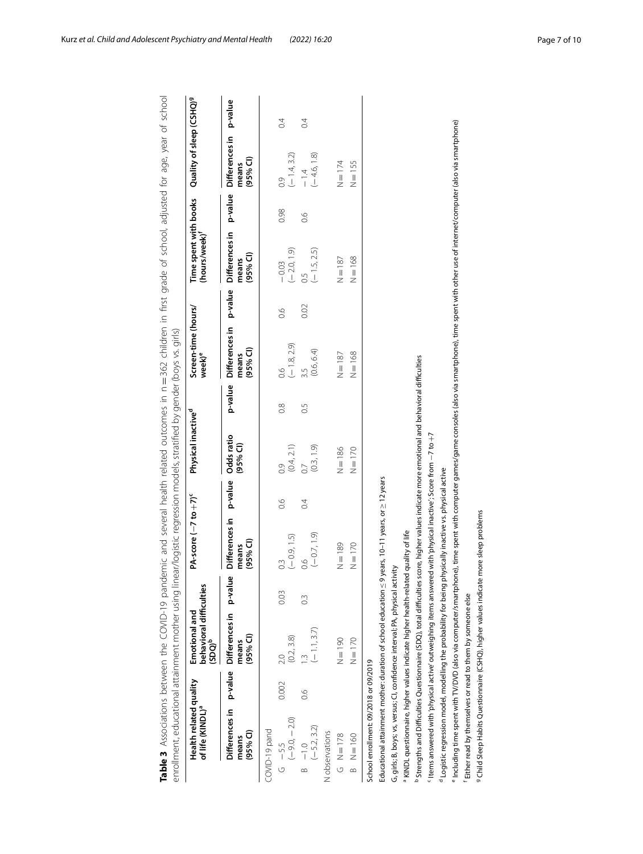<span id="page-6-0"></span>

| Health related quality<br>of life (KINDL)ª                                                                                                                                                                 |       | behavioral difficulties<br>(SDQ) <sup>b</sup><br>Emotional and |                  | PA-score $(-7 to +7)$ <sup>c</sup>    |               | Physical inactive <sup>d</sup>    |               | Screen-time (hours/<br>$week)$ <sup>e</sup>  |         | Time spent with books<br>(hours/week) <sup>f</sup> |               | Quality of sleep (CSHQ) <sup>9</sup>           |                  |
|------------------------------------------------------------------------------------------------------------------------------------------------------------------------------------------------------------|-------|----------------------------------------------------------------|------------------|---------------------------------------|---------------|-----------------------------------|---------------|----------------------------------------------|---------|----------------------------------------------------|---------------|------------------------------------------------|------------------|
| Differences in p-value<br>$(95%$ Cl)<br>means                                                                                                                                                              |       | Differences in p-value<br>$(95%$ CI)<br>means                  |                  | Differences in<br>$(95%$ CI)<br>means | p-value       | Odds ratio<br>(95% <sup>2</sup> ) | p-value       | Differences in<br>(95% <sup>°</sup><br>means | p-value | Differences in<br>$(95%$ CI)<br>means              | p-value       | Differences in<br>(95% <sup>2</sup> )<br>means | p-value          |
| COVID-19 pand                                                                                                                                                                                              |       |                                                                |                  |                                       |               |                                   |               |                                              |         |                                                    |               |                                                |                  |
| $(-9.0, -2.0)$<br>$G - 5.5$                                                                                                                                                                                | 0.002 | (0.2, 3.8)                                                     | 0.03             | $(-0.9, 1.5)$                         | $\frac{6}{2}$ | (0.4, 2.1)<br>0.9                 | $\frac{8}{2}$ | $(-1.8, 2.9)$                                | 0.6     | $(-2.0, 1.9)$<br>$-0.03$                           | 0.98          | $(-1.4, 3.2)$<br>$\frac{6}{2}$                 | $\overline{0}$   |
| $(-5.2, 3.2)$<br>$-1.0$<br>$\infty$                                                                                                                                                                        | 9.6   | $(-1.1, 3.7)$                                                  | $0.\overline{3}$ | $(-0.7, 1.9)$<br>0.6                  | 0.4           | (0.3, 1.9)<br>$\overline{0}$      | 0.5           | (0.6, 6.4)<br>3.5                            | 0.02    | $(-1.5, 2.5)$                                      | $\frac{6}{1}$ | $(-4.6, 1.8)$<br>$-1.4$                        | $\overline{0}$ . |
| N observations                                                                                                                                                                                             |       |                                                                |                  |                                       |               |                                   |               |                                              |         |                                                    |               |                                                |                  |
| $G = 178$                                                                                                                                                                                                  |       | $N = 190$                                                      |                  | $N = 189$                             |               | $N = 186$                         |               | $N = 187$                                    |         | $N = 187$                                          |               | $N = 174$                                      |                  |
| $\frac{160}{1}$<br>$\overline{a}$                                                                                                                                                                          |       | $N = 170$                                                      |                  | $N = 170$                             |               | $N = 170$                         |               | $=168$<br>z                                  |         | $N = 168$                                          |               | $=155$<br>z                                    |                  |
| School enrollment: 09/2018 or 09/2019                                                                                                                                                                      |       |                                                                |                  |                                       |               |                                   |               |                                              |         |                                                    |               |                                                |                  |
| Educational attainment mother: duration of school education $\leq$ 9 years, 10–11 years, or $\geq$ 12 years                                                                                                |       |                                                                |                  |                                       |               |                                   |               |                                              |         |                                                    |               |                                                |                  |
| a KINDL questionnaire, higher values indicate higher health-related quality of life<br>G, girls; B, boys; vs, versus; CI, confidence interval; PA, physical activity                                       |       |                                                                |                  |                                       |               |                                   |               |                                              |         |                                                    |               |                                                |                  |
| $^{\rm b}$ Strengths and Difficulties Questionnaire (SDQ), total difficulties score, higher values indicate more emotional and behavioral difficulties                                                     |       |                                                                |                  |                                       |               |                                   |               |                                              |         |                                                    |               |                                                |                  |
| $^{\circ}$ Items answered with 'physical active' outweighing items answered with 'physical inactive'; Score from $-7$ to $+7$                                                                              |       |                                                                |                  |                                       |               |                                   |               |                                              |         |                                                    |               |                                                |                  |
| <sup>d</sup> Logistic regression model, modelling the probability for being physically inactive vs. physical active                                                                                        |       |                                                                |                  |                                       |               |                                   |               |                                              |         |                                                    |               |                                                |                  |
| "Including time spent with TV/DVD (also via computer/smartphone), time spent with computer games/game consoles (also via smartphone), time spent with other use of internet/computer (also via smartphone) |       |                                                                |                  |                                       |               |                                   |               |                                              |         |                                                    |               |                                                |                  |
| Either read by themselves or read to them by someone else                                                                                                                                                  |       |                                                                |                  |                                       |               |                                   |               |                                              |         |                                                    |               |                                                |                  |
| 9 Child Sleep Habits Questionnaire (CSHQ), higher values indicate more sleep problems                                                                                                                      |       |                                                                |                  |                                       |               |                                   |               |                                              |         |                                                    |               |                                                |                  |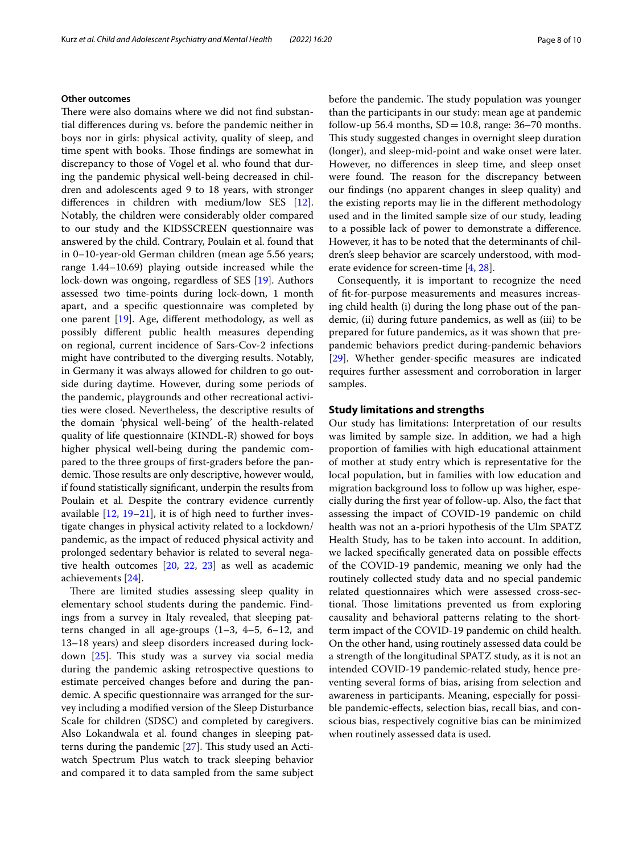# **Other outcomes**

There were also domains where we did not find substantial diferences during vs. before the pandemic neither in boys nor in girls: physical activity, quality of sleep, and time spent with books. Those findings are somewhat in discrepancy to those of Vogel et al. who found that during the pandemic physical well-being decreased in children and adolescents aged 9 to 18 years, with stronger diferences in children with medium/low SES [\[12](#page-9-7)]. Notably, the children were considerably older compared to our study and the KIDSSCREEN questionnaire was answered by the child. Contrary, Poulain et al. found that in 0–10-year-old German children (mean age 5.56 years; range 1.44–10.69) playing outside increased while the lock-down was ongoing, regardless of SES [[19\]](#page-9-14). Authors assessed two time-points during lock-down, 1 month apart, and a specifc questionnaire was completed by one parent [\[19](#page-9-14)]. Age, diferent methodology, as well as possibly diferent public health measures depending on regional, current incidence of Sars-Cov-2 infections might have contributed to the diverging results. Notably, in Germany it was always allowed for children to go outside during daytime. However, during some periods of the pandemic, playgrounds and other recreational activities were closed. Nevertheless, the descriptive results of the domain 'physical well-being' of the health-related quality of life questionnaire (KINDL-R) showed for boys higher physical well-being during the pandemic compared to the three groups of frst-graders before the pandemic. Those results are only descriptive, however would, if found statistically signifcant, underpin the results from Poulain et al. Despite the contrary evidence currently available [\[12](#page-9-7), [19](#page-9-14)[–21](#page-9-17)], it is of high need to further investigate changes in physical activity related to a lockdown/ pandemic, as the impact of reduced physical activity and prolonged sedentary behavior is related to several negative health outcomes [[20,](#page-9-18) [22](#page-9-19), [23](#page-9-20)] as well as academic achievements [[24\]](#page-9-21).

There are limited studies assessing sleep quality in elementary school students during the pandemic. Findings from a survey in Italy revealed, that sleeping patterns changed in all age-groups (1–3, 4–5, 6–12, and 13–18 years) and sleep disorders increased during lock-down [[25\]](#page-9-15). This study was a survey via social media during the pandemic asking retrospective questions to estimate perceived changes before and during the pandemic. A specifc questionnaire was arranged for the survey including a modifed version of the Sleep Disturbance Scale for children (SDSC) and completed by caregivers. Also Lokandwala et al. found changes in sleeping patterns during the pandemic  $[27]$  $[27]$ . This study used an Actiwatch Spectrum Plus watch to track sleeping behavior and compared it to data sampled from the same subject before the pandemic. The study population was younger than the participants in our study: mean age at pandemic follow-up 56.4 months,  $SD = 10.8$ , range: 36–70 months. This study suggested changes in overnight sleep duration (longer), and sleep-mid-point and wake onset were later. However, no diferences in sleep time, and sleep onset were found. The reason for the discrepancy between our fndings (no apparent changes in sleep quality) and the existing reports may lie in the diferent methodology used and in the limited sample size of our study, leading to a possible lack of power to demonstrate a diference. However, it has to be noted that the determinants of children's sleep behavior are scarcely understood, with moderate evidence for screen-time [[4,](#page-8-1) [28](#page-9-23)].

Consequently, it is important to recognize the need of ft-for-purpose measurements and measures increasing child health (i) during the long phase out of the pandemic, (ii) during future pandemics, as well as (iii) to be prepared for future pandemics, as it was shown that prepandemic behaviors predict during-pandemic behaviors [[29\]](#page-9-24). Whether gender-specifc measures are indicated requires further assessment and corroboration in larger samples.

# **Study limitations and strengths**

Our study has limitations: Interpretation of our results was limited by sample size. In addition, we had a high proportion of families with high educational attainment of mother at study entry which is representative for the local population, but in families with low education and migration background loss to follow up was higher, especially during the frst year of follow-up. Also, the fact that assessing the impact of COVID-19 pandemic on child health was not an a-priori hypothesis of the Ulm SPATZ Health Study, has to be taken into account. In addition, we lacked specifcally generated data on possible efects of the COVID-19 pandemic, meaning we only had the routinely collected study data and no special pandemic related questionnaires which were assessed cross-sectional. Those limitations prevented us from exploring causality and behavioral patterns relating to the shortterm impact of the COVID-19 pandemic on child health. On the other hand, using routinely assessed data could be a strength of the longitudinal SPATZ study, as it is not an intended COVID-19 pandemic-related study, hence preventing several forms of bias, arising from selection and awareness in participants. Meaning, especially for possible pandemic-efects, selection bias, recall bias, and conscious bias, respectively cognitive bias can be minimized when routinely assessed data is used.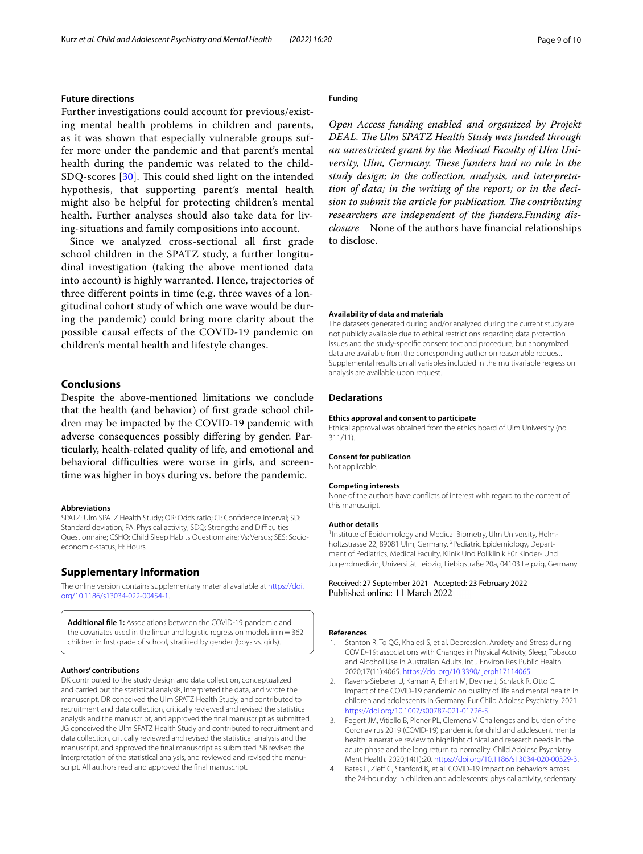# **Future directions**

Further investigations could account for previous/existing mental health problems in children and parents, as it was shown that especially vulnerable groups suffer more under the pandemic and that parent's mental health during the pandemic was related to the child-SDQ-scores [\[30\]](#page-9-25). This could shed light on the intended hypothesis, that supporting parent's mental health might also be helpful for protecting children's mental health. Further analyses should also take data for living-situations and family compositions into account.

Since we analyzed cross-sectional all frst grade school children in the SPATZ study, a further longitudinal investigation (taking the above mentioned data into account) is highly warranted. Hence, trajectories of three diferent points in time (e.g. three waves of a longitudinal cohort study of which one wave would be during the pandemic) could bring more clarity about the possible causal efects of the COVID-19 pandemic on children's mental health and lifestyle changes.

# **Conclusions**

Despite the above-mentioned limitations we conclude that the health (and behavior) of frst grade school children may be impacted by the COVID-19 pandemic with adverse consequences possibly difering by gender. Particularly, health-related quality of life, and emotional and behavioral difficulties were worse in girls, and screentime was higher in boys during vs. before the pandemic.

#### **Abbreviations**

SPATZ: Ulm SPATZ Health Study; OR: Odds ratio; CI: Confdence interval; SD: Standard deviation; PA: Physical activity; SDQ: Strengths and Difculties Questionnaire; CSHQ: Child Sleep Habits Questionnaire; Vs: Versus; SES: Socioeconomic-status; H: Hours.

# **Supplementary Information**

The online version contains supplementary material available at [https://doi.](https://doi.org/10.1186/s13034-022-00454-1) [org/10.1186/s13034-022-00454-1](https://doi.org/10.1186/s13034-022-00454-1).

<span id="page-8-4"></span>**Additional fle 1:** Associations between the COVID-19 pandemic and the covariates used in the linear and logistic regression models in  $n=362$ children in frst grade of school, stratifed by gender (boys vs. girls).

#### **Authors' contributions**

DK contributed to the study design and data collection, conceptualized and carried out the statistical analysis, interpreted the data, and wrote the manuscript. DR conceived the Ulm SPATZ Health Study, and contributed to recruitment and data collection, critically reviewed and revised the statistical analysis and the manuscript, and approved the fnal manuscript as submitted. JG conceived the Ulm SPATZ Health Study and contributed to recruitment and data collection, critically reviewed and revised the statistical analysis and the manuscript, and approved the fnal manuscript as submitted. SB revised the interpretation of the statistical analysis, and reviewed and revised the manuscript. All authors read and approved the fnal manuscript.

#### **Funding**

*Open Access funding enabled and organized by Projekt*  DEAL. The Ulm SPATZ Health Study was funded through *an unrestricted grant by the Medical Faculty of Ulm University, Ulm, Germany. These funders had no role in the study design; in the collection, analysis, and interpretation of data; in the writing of the report; or in the decision to submit the article for publication. The contributing researchers are independent of the funders.Funding disclosure* None of the authors have fnancial relationships to disclose.

## **Availability of data and materials**

The datasets generated during and/or analyzed during the current study are not publicly available due to ethical restrictions regarding data protection issues and the study-specifc consent text and procedure, but anonymized data are available from the corresponding author on reasonable request. Supplemental results on all variables included in the multivariable regression analysis are available upon request.

### **Declarations**

#### **Ethics approval and consent to participate**

Ethical approval was obtained from the ethics board of Ulm University (no. 311/11).

#### **Consent for publication**

Not applicable.

#### **Competing interests**

None of the authors have conficts of interest with regard to the content of this manuscript.

#### **Author details**

<sup>1</sup> Institute of Epidemiology and Medical Biometry, Ulm University, Helmholtzstrasse 22, 89081 Ulm, Germany. <sup>2</sup> Pediatric Epidemiology, Department of Pediatrics, Medical Faculty, Klinik Und Poliklinik Für Kinder- Und Jugendmedizin, Universität Leipzig, Liebigstraße 20a, 04103 Leipzig, Germany.

Received: 27 September 2021 Accepted: 23 February 2022<br>Published online: 11 March 2022

#### **References**

- <span id="page-8-0"></span>Stanton R, To QG, Khalesi S, et al. Depression, Anxiety and Stress during COVID-19: associations with Changes in Physical Activity, Sleep, Tobacco and Alcohol Use in Australian Adults. Int J Environ Res Public Health. 2020;17(11):4065. [https://doi.org/10.3390/ijerph17114065.](https://doi.org/10.3390/ijerph17114065)
- <span id="page-8-3"></span>2. Ravens-Sieberer U, Kaman A, Erhart M, Devine J, Schlack R, Otto C. Impact of the COVID-19 pandemic on quality of life and mental health in children and adolescents in Germany. Eur Child Adolesc Psychiatry. 2021. <https://doi.org/10.1007/s00787-021-01726-5>.
- <span id="page-8-2"></span>3. Fegert JM, Vitiello B, Plener PL, Clemens V. Challenges and burden of the Coronavirus 2019 (COVID-19) pandemic for child and adolescent mental health: a narrative review to highlight clinical and research needs in the acute phase and the long return to normality. Child Adolesc Psychiatry Ment Health. 2020;14(1):20. [https://doi.org/10.1186/s13034-020-00329-3.](https://doi.org/10.1186/s13034-020-00329-3)
- <span id="page-8-1"></span>Bates L, Zieff G, Stanford K, et al. COVID-19 impact on behaviors across the 24-hour day in children and adolescents: physical activity, sedentary